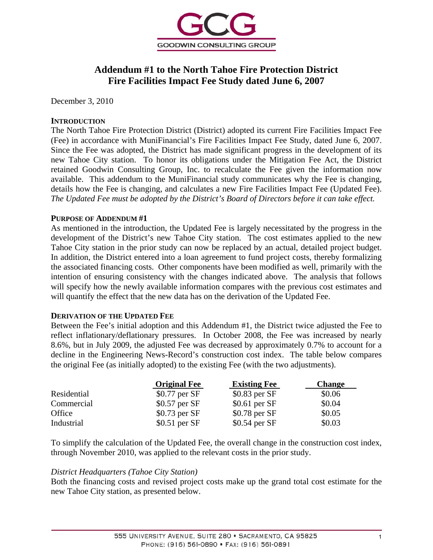

# **Addendum #1 to the North Tahoe Fire Protection District Fire Facilities Impact Fee Study dated June 6, 2007**

December 3, 2010

#### **INTRODUCTION**

The North Tahoe Fire Protection District (District) adopted its current Fire Facilities Impact Fee (Fee) in accordance with MuniFinancial's Fire Facilities Impact Fee Study, dated June 6, 2007. Since the Fee was adopted, the District has made significant progress in the development of its new Tahoe City station. To honor its obligations under the Mitigation Fee Act, the District retained Goodwin Consulting Group, Inc. to recalculate the Fee given the information now available. This addendum to the MuniFinancial study communicates why the Fee is changing, details how the Fee is changing, and calculates a new Fire Facilities Impact Fee (Updated Fee). *The Updated Fee must be adopted by the District's Board of Directors before it can take effect.*

# **PURPOSE OF ADDENDUM #1**

As mentioned in the introduction, the Updated Fee is largely necessitated by the progress in the development of the District's new Tahoe City station. The cost estimates applied to the new Tahoe City station in the prior study can now be replaced by an actual, detailed project budget. In addition, the District entered into a loan agreement to fund project costs, thereby formalizing the associated financing costs. Other components have been modified as well, primarily with the intention of ensuring consistency with the changes indicated above. The analysis that follows will specify how the newly available information compares with the previous cost estimates and will quantify the effect that the new data has on the derivation of the Updated Fee.

# **DERIVATION OF THE UPDATED FEE**

Between the Fee's initial adoption and this Addendum #1, the District twice adjusted the Fee to reflect inflationary/deflationary pressures. In October 2008, the Fee was increased by nearly 8.6%, but in July 2009, the adjusted Fee was decreased by approximately 0.7% to account for a decline in the Engineering News-Record's construction cost index. The table below compares the original Fee (as initially adopted) to the existing Fee (with the two adjustments).

|             | <b>Original Fee</b> | <b>Existing Fee</b> | <b>Change</b> |
|-------------|---------------------|---------------------|---------------|
| Residential | $$0.77$ per SF      | $$0.83$ per SF      | \$0.06        |
| Commercial  | $$0.57$ per SF      | $$0.61$ per SF      | \$0.04        |
| Office      | $$0.73$ per SF      | $$0.78$ per SF      | \$0.05        |
| Industrial  | $$0.51$ per SF      | $$0.54$ per SF      | \$0.03        |

To simplify the calculation of the Updated Fee, the overall change in the construction cost index, through November 2010, was applied to the relevant costs in the prior study.

# *District Headquarters (Tahoe City Station)*

Both the financing costs and revised project costs make up the grand total cost estimate for the new Tahoe City station, as presented below.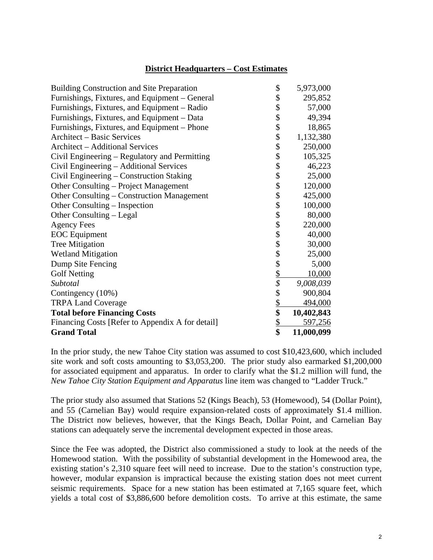#### **District Headquarters – Cost Estimates**

| <b>Building Construction and Site Preparation</b> | \$                       | 5,973,000  |
|---------------------------------------------------|--------------------------|------------|
| Furnishings, Fixtures, and Equipment – General    | \$                       | 295,852    |
| Furnishings, Fixtures, and Equipment – Radio      | \$                       | 57,000     |
| Furnishings, Fixtures, and Equipment – Data       | \$                       | 49,394     |
| Furnishings, Fixtures, and Equipment – Phone      | \$                       | 18,865     |
| Architect – Basic Services                        | \$                       | 1,132,380  |
| <b>Architect – Additional Services</b>            | \$                       | 250,000    |
| Civil Engineering – Regulatory and Permitting     | \$                       | 105,325    |
| Civil Engineering - Additional Services           | \$                       | 46,223     |
| Civil Engineering – Construction Staking          | \$                       | 25,000     |
| Other Consulting - Project Management             | \$                       | 120,000    |
| Other Consulting – Construction Management        | \$                       | 425,000    |
| Other Consulting – Inspection                     | \$                       | 100,000    |
| Other Consulting – Legal                          | \$                       | 80,000     |
| <b>Agency Fees</b>                                | \$                       | 220,000    |
| <b>EOC</b> Equipment                              | \$                       | 40,000     |
| <b>Tree Mitigation</b>                            | \$                       | 30,000     |
| <b>Wetland Mitigation</b>                         | \$                       | 25,000     |
| Dump Site Fencing                                 | \$                       | 5,000      |
| <b>Golf Netting</b>                               | $\frac{\$}{\$}$          | 10,000     |
| Subtotal                                          |                          | 9,008,039  |
| Contingency (10%)                                 | \$                       | 900,804    |
| <b>TRPA Land Coverage</b>                         | \$<br>\$                 | 494,000    |
| <b>Total before Financing Costs</b>               |                          | 10,402,843 |
| Financing Costs [Refer to Appendix A for detail]  | $\overline{\mathcal{L}}$ | 597,256    |
| <b>Grand Total</b>                                | \$                       | 11,000,099 |

In the prior study, the new Tahoe City station was assumed to cost \$10,423,600, which included site work and soft costs amounting to \$3,053,200. The prior study also earmarked \$1,200,000 for associated equipment and apparatus. In order to clarify what the \$1.2 million will fund, the *New Tahoe City Station Equipment and Apparatus* line item was changed to "Ladder Truck."

The prior study also assumed that Stations 52 (Kings Beach), 53 (Homewood), 54 (Dollar Point), and 55 (Carnelian Bay) would require expansion-related costs of approximately \$1.4 million. The District now believes, however, that the Kings Beach, Dollar Point, and Carnelian Bay stations can adequately serve the incremental development expected in those areas.

Since the Fee was adopted, the District also commissioned a study to look at the needs of the Homewood station. With the possibility of substantial development in the Homewood area, the existing station's 2,310 square feet will need to increase. Due to the station's construction type, however, modular expansion is impractical because the existing station does not meet current seismic requirements. Space for a new station has been estimated at 7,165 square feet, which yields a total cost of \$3,886,600 before demolition costs. To arrive at this estimate, the same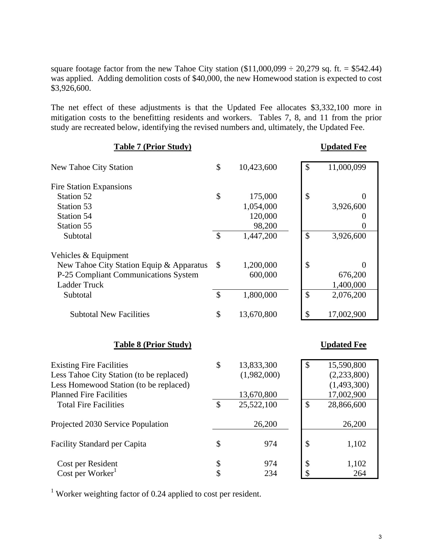square footage factor from the new Tahoe City station  $(\$11,000,099 \div 20,279$  sq. ft. = \$542.44) was applied. Adding demolition costs of \$40,000, the new Homewood station is expected to cost \$3,926,600.

The net effect of these adjustments is that the Updated Fee allocates \$3,332,100 more in mitigation costs to the benefitting residents and workers. Tables 7, 8, and 11 from the prior study are recreated below, identifying the revised numbers and, ultimately, the Updated Fee.

| <b>Table 7 (Prior Study)</b>             |               |             |               | <b>Updated Fee</b> |
|------------------------------------------|---------------|-------------|---------------|--------------------|
| <b>New Tahoe City Station</b>            | \$            | 10,423,600  | $\mathcal{S}$ | 11,000,099         |
| <b>Fire Station Expansions</b>           |               |             |               |                    |
| Station 52                               | \$            | 175,000     | $\mathcal{S}$ | 0                  |
| Station 53                               |               | 1,054,000   |               | 3,926,600          |
| Station 54                               |               | 120,000     |               | $\theta$           |
| Station 55                               |               | 98,200      |               | $\overline{0}$     |
| Subtotal                                 | \$            | 1,447,200   | $\mathcal{S}$ | 3,926,600          |
| Vehicles & Equipment                     |               |             |               |                    |
| New Tahoe City Station Equip & Apparatus | \$            | 1,200,000   | \$            | 0                  |
| P-25 Compliant Communications System     |               | 600,000     |               | 676,200            |
| <b>Ladder Truck</b>                      |               |             |               | 1,400,000          |
| Subtotal                                 | \$            | 1,800,000   | $\mathcal{S}$ | 2,076,200          |
| <b>Subtotal New Facilities</b>           | \$            | 13,670,800  | \$            | 17,002,900         |
| <b>Table 8 (Prior Study)</b>             |               |             |               | <b>Updated Fee</b> |
| <b>Existing Fire Facilities</b>          | \$            | 13,833,300  | \$            | 15,590,800         |
| Less Tahoe City Station (to be replaced) |               | (1,982,000) |               | (2, 233, 800)      |
| Less Homewood Station (to be replaced)   |               |             |               | (1,493,300)        |
| <b>Planned Fire Facilities</b>           |               | 13,670,800  |               | 17,002,900         |
| <b>Total Fire Facilities</b>             | $\mathcal{S}$ | 25,522,100  | $\mathcal{S}$ | 28,866,600         |
| Projected 2030 Service Population        |               | 26,200      |               | 26,200             |
| <b>Facility Standard per Capita</b>      | \$            | 974         | \$            | 1,102              |
| Cost per Resident                        | \$            | 974         | \$            | 1,102              |
| Cost per Worker <sup>1</sup>             | \$            | 234         | \$            | 264                |

<sup>1</sup> Worker weighting factor of 0.24 applied to cost per resident.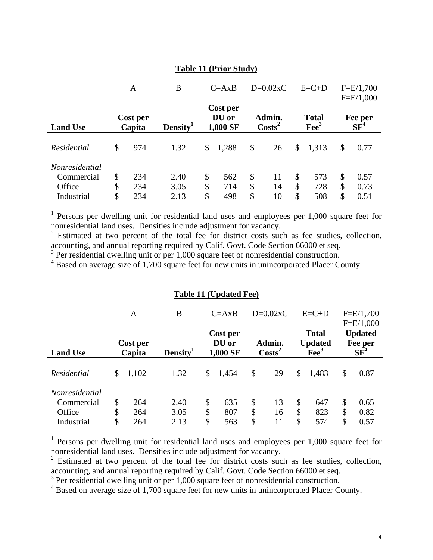# **Table 11 (Prior Study)**

|                                                             |                | A                  | B                    |                | $C = AxB$                     |                           | $D=0.02xC$                 |                | $E=C+D$                        |                | $F=E/1,700$<br>$F=E/1,000$ |
|-------------------------------------------------------------|----------------|--------------------|----------------------|----------------|-------------------------------|---------------------------|----------------------------|----------------|--------------------------------|----------------|----------------------------|
| <b>Land Use</b>                                             |                | Cost per<br>Capita | Density <sup>1</sup> |                | Cost per<br>DU or<br>1,000 SF |                           | Admin.<br>$\text{Costs}^2$ |                | <b>Total</b><br>$\text{Fe}e^3$ |                | Fee per<br>$SF^4$          |
| Residential                                                 | \$             | 974                | 1.32                 | \$             | 1,288                         | \$                        | 26                         | \$             | 1,313                          | \$             | 0.77                       |
| <i>Nonresidential</i><br>Commercial<br>Office<br>Industrial | \$<br>\$<br>\$ | 234<br>234<br>234  | 2.40<br>3.05<br>2.13 | \$<br>\$<br>\$ | 562<br>714<br>498             | \$<br>\$<br>$\mathcal{S}$ | 11<br>14<br>10             | \$<br>\$<br>\$ | 573<br>728<br>508              | \$<br>\$<br>\$ | 0.57<br>0.73<br>0.51       |

<sup>1</sup> Persons per dwelling unit for residential land uses and employees per 1,000 square feet for nonresidential land uses. Densities include adjustment for vacancy.

 $2$  Estimated at two percent of the total fee for district costs such as fee studies, collection, accounting, and annual reporting required by Calif. Govt. Code Section 66000 et seq.

<sup>3</sup> Per residential dwelling unit or per 1,000 square feet of nonresidential construction.

<sup>4</sup> Based on average size of 1,700 square feet for new units in unincorporated Placer County.

#### **Table 11 (Updated Fee)**

|                                                             |                | A                  | B                    |                | $C = AxB$                     |                | $D=0.02xC$                 |                | $E=C+D$                                          |                | $F=E/1,700$<br>$F=E/1,000$                   |
|-------------------------------------------------------------|----------------|--------------------|----------------------|----------------|-------------------------------|----------------|----------------------------|----------------|--------------------------------------------------|----------------|----------------------------------------------|
| <b>Land Use</b>                                             |                | Cost per<br>Capita | Density <sup>1</sup> |                | Cost per<br>DU or<br>1,000 SF |                | Admin.<br>$\text{Costs}^2$ |                | <b>Total</b><br><b>Updated</b><br>$\text{Fe}e^3$ |                | <b>Updated</b><br>Fee per<br>SF <sup>4</sup> |
| Residential                                                 | \$             | 1,102              | 1.32                 | \$             | 1,454                         | \$             | 29                         | \$             | 1,483                                            | \$             | 0.87                                         |
| <i>Nonresidential</i><br>Commercial<br>Office<br>Industrial | \$<br>\$<br>\$ | 264<br>264<br>264  | 2.40<br>3.05<br>2.13 | \$<br>\$<br>\$ | 635<br>807<br>563             | \$<br>\$<br>\$ | 13<br>16<br>11             | \$<br>\$<br>\$ | 647<br>823<br>574                                | \$<br>\$<br>\$ | 0.65<br>0.82<br>0.57                         |

<sup>1</sup> Persons per dwelling unit for residential land uses and employees per 1,000 square feet for nonresidential land uses. Densities include adjustment for vacancy.

 $2$  Estimated at two percent of the total fee for district costs such as fee studies, collection, accounting, and annual reporting required by Calif. Govt. Code Section 66000 et seq.

<sup>3</sup> Per residential dwelling unit or per 1,000 square feet of nonresidential construction.

<sup>4</sup> Based on average size of 1,700 square feet for new units in unincorporated Placer County.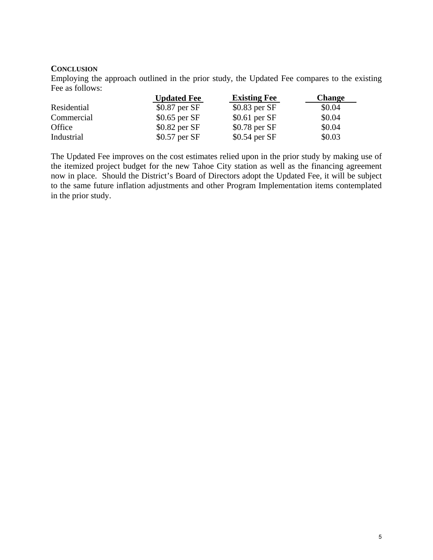# **CONCLUSION**

Employing the approach outlined in the prior study, the Updated Fee compares to the existing Fee as follows:

|             | <b>Updated Fee</b> | <b>Existing Fee</b> | <b>Change</b> |
|-------------|--------------------|---------------------|---------------|
| Residential | $$0.87$ per SF     | $$0.83$ per SF      | \$0.04        |
| Commercial  | $$0.65$ per SF     | $$0.61$ per SF      | \$0.04        |
| Office      | $$0.82$ per SF     | $$0.78$ per SF      | \$0.04        |
| Industrial  | $$0.57$ per SF     | $$0.54$ per SF      | \$0.03        |

The Updated Fee improves on the cost estimates relied upon in the prior study by making use of the itemized project budget for the new Tahoe City station as well as the financing agreement now in place. Should the District's Board of Directors adopt the Updated Fee, it will be subject to the same future inflation adjustments and other Program Implementation items contemplated in the prior study.